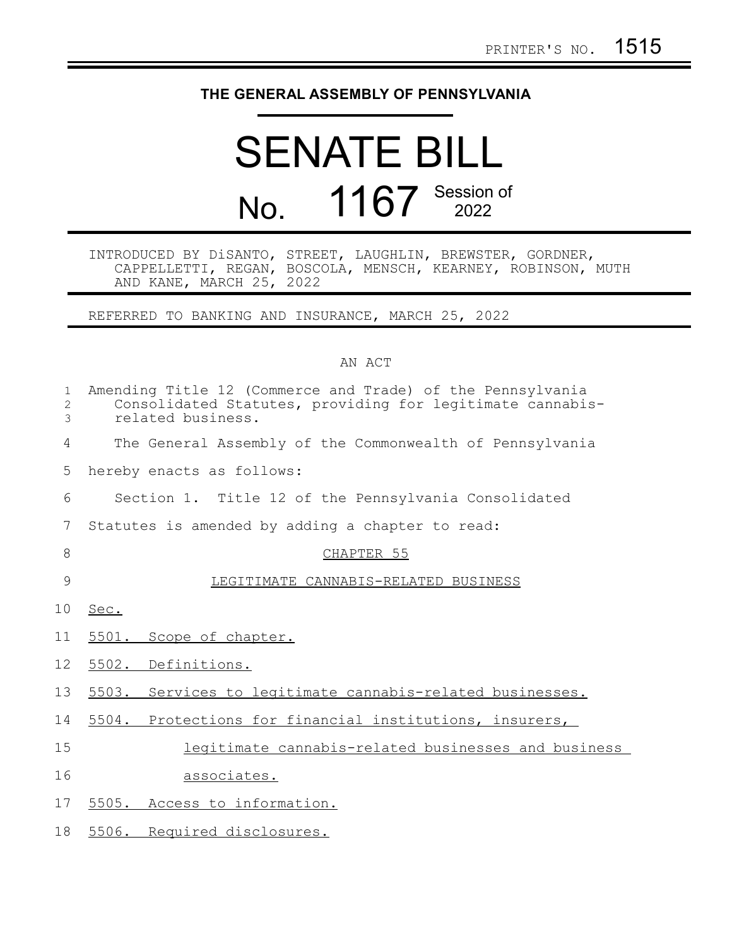## **THE GENERAL ASSEMBLY OF PENNSYLVANIA**

## SENATE BILL No. 1167 Session of

INTRODUCED BY DiSANTO, STREET, LAUGHLIN, BREWSTER, GORDNER, CAPPELLETTI, REGAN, BOSCOLA, MENSCH, KEARNEY, ROBINSON, MUTH AND KANE, MARCH 25, 2022

REFERRED TO BANKING AND INSURANCE, MARCH 25, 2022

## AN ACT

| $\mathbf{1}$<br>2<br>3 | Amending Title 12 (Commerce and Trade) of the Pennsylvania<br>Consolidated Statutes, providing for legitimate cannabis-<br>related business. |
|------------------------|----------------------------------------------------------------------------------------------------------------------------------------------|
| 4                      | The General Assembly of the Commonwealth of Pennsylvania                                                                                     |
| 5                      | hereby enacts as follows:                                                                                                                    |
| 6                      | Section 1. Title 12 of the Pennsylvania Consolidated                                                                                         |
| 7                      | Statutes is amended by adding a chapter to read:                                                                                             |
| 8                      | CHAPTER 55                                                                                                                                   |
| 9                      | LEGITIMATE CANNABIS-RELATED BUSINESS                                                                                                         |
| 10                     | Sec.                                                                                                                                         |
| 11                     | 5501. Scope of chapter.                                                                                                                      |
| 12                     | 5502. Definitions.                                                                                                                           |
| 13                     | 5503. Services to legitimate cannabis-related businesses.                                                                                    |
| 14                     | 5504. Protections for financial institutions, insurers,                                                                                      |
| 15                     | legitimate cannabis-related businesses and business                                                                                          |
| 16                     | associates.                                                                                                                                  |
| 17                     | 5505. Access to information.                                                                                                                 |
| 18                     | 5506. Required disclosures.                                                                                                                  |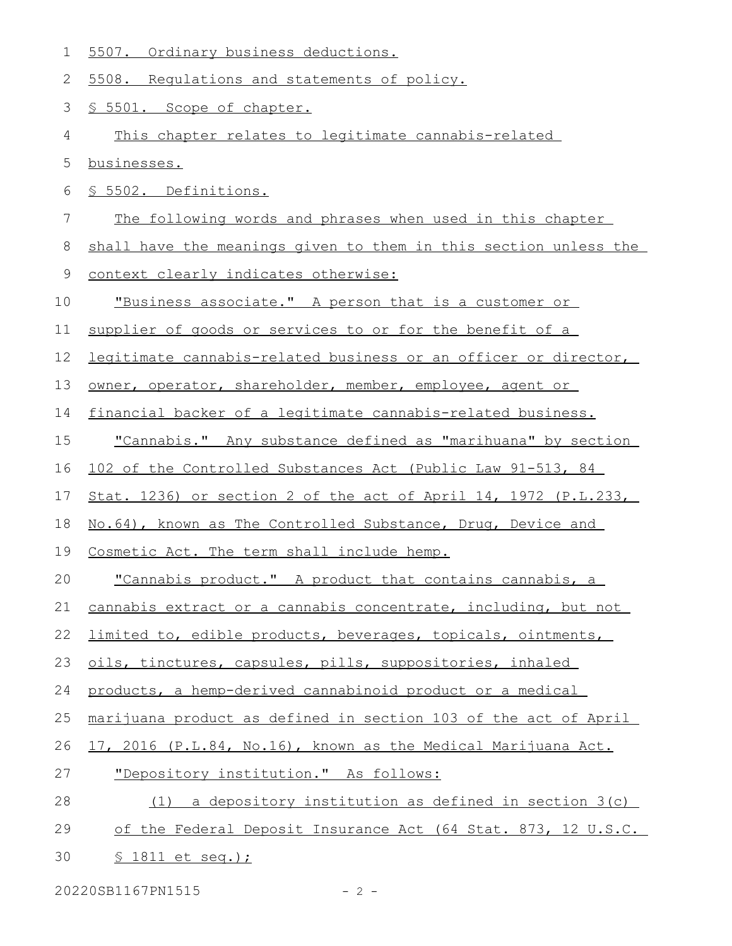| 5507. |  | Ordinary business deductions. |
|-------|--|-------------------------------|
|       |  |                               |

5508. Regulations and statements of policy. 2

 § 5501. Scope of chapter. 3

This chapter relates to legitimate cannabis-related 4

businesses. 5

 § 5502. Definitions. 6

The following words and phrases when used in this chapter 7

shall have the meanings given to them in this section unless the 8

context clearly indicates otherwise: 9

 "Business associate." A person that is a customer or 10

supplier of goods or services to or for the benefit of a 11

legitimate cannabis-related business or an officer or director, 12

owner, operator, shareholder, member, employee, agent or 13

financial backer of a legitimate cannabis-related business. 14

 "Cannabis." Any substance defined as "marihuana" by section 15

102 of the Controlled Substances Act (Public Law 91-513, 84 16

Stat. 1236) or section 2 of the act of April 14, 1972 (P.L.233, 17

No.64), known as The Controlled Substance, Drug, Device and 18

Cosmetic Act. The term shall include hemp. 19

"Cannabis product." A product that contains cannabis, a 20

cannabis extract or a cannabis concentrate, including, but not 21

limited to, edible products, beverages, topicals, ointments, 22

oils, tinctures, capsules, pills, suppositories, inhaled 23

products, a hemp-derived cannabinoid product or a medical 24

marijuana product as defined in section 103 of the act of April 25

17, 2016 (P.L.84, No.16), known as the Medical Marijuana Act. 26

 "Depository institution." As follows: 27

(1) a depository institution as defined in section 3(c) of the Federal Deposit Insurance Act (64 Stat. 873, 12 U.S.C. 28 29

§ 1811 et seq.); 30

20220SB1167PN1515 - 2 -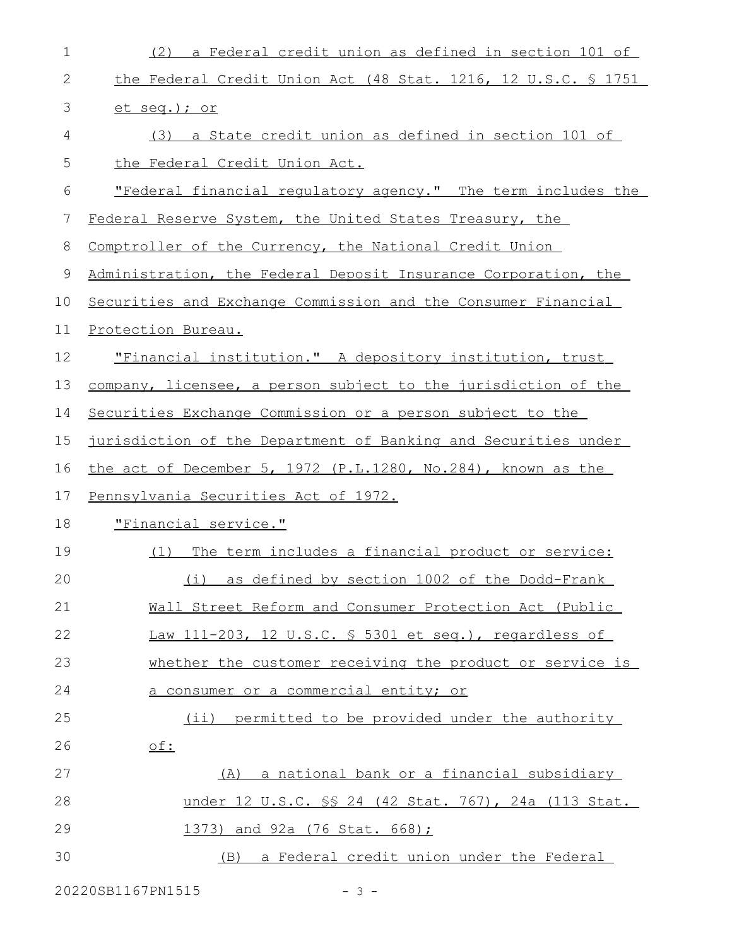| 1  | (2) a Federal credit union as defined in section 101 of             |
|----|---------------------------------------------------------------------|
| 2  | the Federal Credit Union Act (48 Stat. 1216, 12 U.S.C. § 1751       |
| 3  | $et seq.$ ; or                                                      |
| 4  | (3) a State credit union as defined in section 101 of               |
| 5  | the Federal Credit Union Act.                                       |
| 6  | <u>"Federal financial regulatory agency." The term includes the</u> |
| 7  | Federal Reserve System, the United States Treasury, the             |
| 8  | Comptroller of the Currency, the National Credit Union              |
| 9  | Administration, the Federal Deposit Insurance Corporation, the      |
| 10 | Securities and Exchange Commission and the Consumer Financial       |
| 11 | Protection Bureau.                                                  |
| 12 | "Financial institution." A depository institution, trust            |
| 13 | company, licensee, a person subject to the jurisdiction of the      |
| 14 | Securities Exchange Commission or a person subject to the           |
| 15 | jurisdiction of the Department of Banking and Securities under      |
| 16 | the act of December 5, 1972 (P.L.1280, No.284), known as the        |
| 17 | Pennsylvania Securities Act of 1972.                                |
| 18 | "Financial service."                                                |
| 19 | The term includes a financial product or service:<br>(1)            |
| 20 | (i) as defined by section 1002 of the Dodd-Frank                    |
| 21 | Wall Street Reform and Consumer Protection Act (Public              |
| 22 | Law 111-203, 12 U.S.C. § 5301 et seq.), regardless of               |
| 23 | whether the customer receiving the product or service is            |
| 24 | a consumer or a commercial entity; or                               |
| 25 | (ii) permitted to be provided under the authority                   |
| 26 | Of:                                                                 |
| 27 | (A) a national bank or a financial subsidiary                       |
| 28 | under 12 U.S.C. §§ 24 (42 Stat. 767), 24a (113 Stat.                |
| 29 | 1373) and 92a (76 Stat. 668);                                       |
| 30 | (B) a Federal credit union under the Federal                        |
|    |                                                                     |

20220SB1167PN1515 - 3 -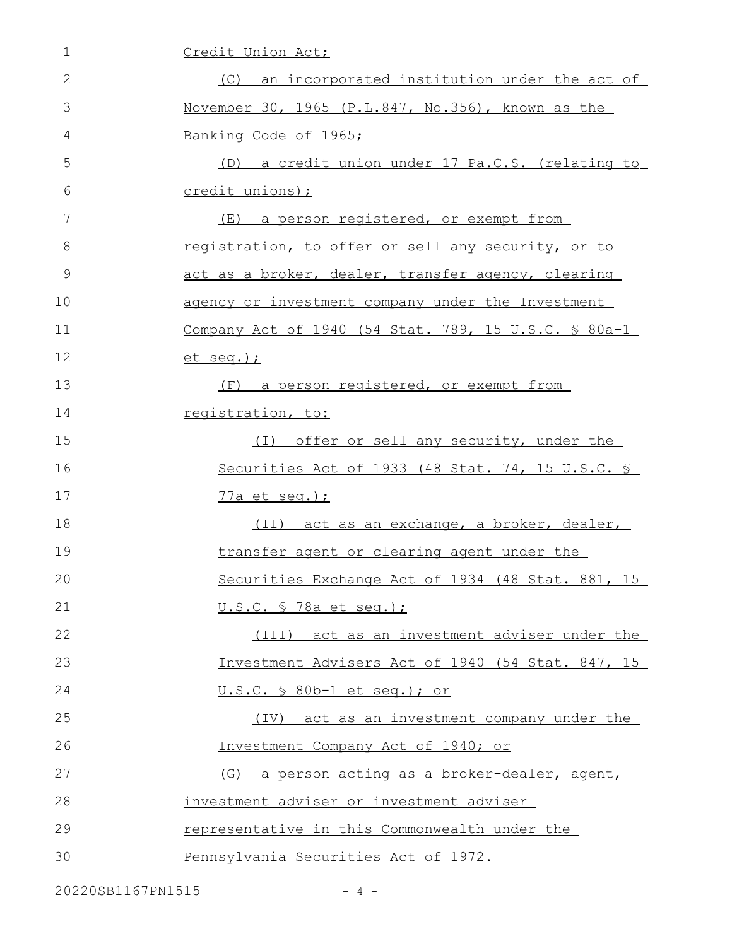| 1  | Credit Union Act;                                           |
|----|-------------------------------------------------------------|
| 2  | (C) an incorporated institution under the act of            |
| 3  | November 30, 1965 (P.L.847, No.356), known as the           |
| 4  | Banking Code of 1965;                                       |
| 5  | (D) a credit union under 17 Pa.C.S. (relating to            |
| 6  | credit unions);                                             |
| 7  | (E) a person registered, or exempt from                     |
| 8  | registration, to offer or sell any security, or to          |
| 9  | act as a broker, dealer, transfer agency, clearing          |
| 10 | agency or investment company under the Investment           |
| 11 | <u>Company Act of 1940 (54 Stat. 789, 15 U.S.C. § 80a-1</u> |
| 12 | $etseq.$ ;                                                  |
| 13 | (F) a person registered, or exempt from                     |
| 14 | registration, to:                                           |
| 15 | offer or sell any security, under the<br>(T)                |
| 16 | Securities Act of 1933 (48 Stat. 74, 15 U.S.C. §            |
| 17 | $77a$ et seq.);                                             |
| 18 | (II) act as an exchange, a broker, dealer,                  |
| 19 | transfer agent or clearing agent under the                  |
| 20 | Securities Exchange Act of 1934 (48 Stat. 881, 15           |
| 21 | <u>U.S.C. § 78a et seq.);</u>                               |
| 22 | (III) act as an investment adviser under the                |
| 23 | Investment Advisers Act of 1940 (54 Stat. 847, 15           |
| 24 | <u>U.S.C. § 80b-1 et seq.); or</u>                          |
| 25 | (IV) act as an investment company under the                 |
| 26 | Investment Company Act of 1940; or                          |
| 27 | (G) a person acting as a broker-dealer, agent,              |
| 28 | investment adviser or investment adviser                    |
| 29 | representative in this Commonwealth under the               |
| 30 | Pennsylvania Securities Act of 1972.                        |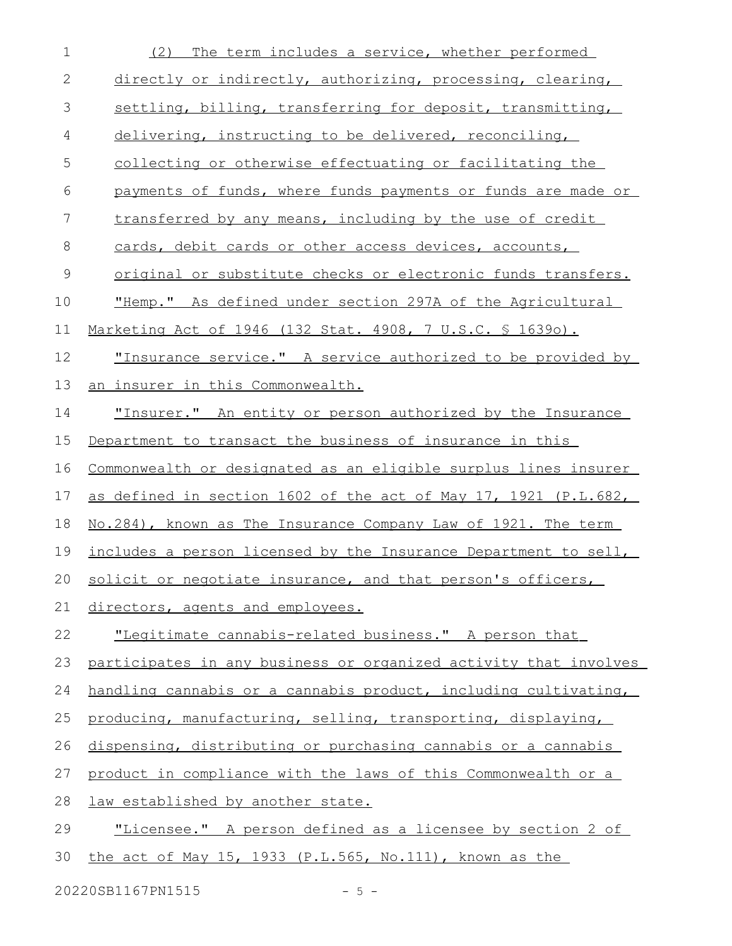| $\mathbf 1$   | The term includes a service, whether performed<br>(2)            |
|---------------|------------------------------------------------------------------|
| 2             | directly or indirectly, authorizing, processing, clearing,       |
| 3             | settling, billing, transferring for deposit, transmitting,       |
| 4             | delivering, instructing to be delivered, reconciling,            |
| 5             | collecting or otherwise effectuating or facilitating the         |
| 6             | payments of funds, where funds payments or funds are made or     |
| 7             | transferred by any means, including by the use of credit         |
| 8             | cards, debit cards or other access devices, accounts,            |
| $\mathcal{G}$ | original or substitute checks or electronic funds transfers.     |
| 10            | "Hemp." As defined under section 297A of the Agricultural        |
| 11            | Marketing Act of 1946 (132 Stat. 4908, 7 U.S.C. § 1639o).        |
| 12            | "Insurance service." A service authorized to be provided by      |
| 13            | <u>an insurer in this Commonwealth.</u>                          |
| 14            | "Insurer." An entity or person authorized by the Insurance       |
| 15            | Department to transact the business of insurance in this         |
| 16            | Commonwealth or designated as an eligible surplus lines insurer  |
| 17            | as defined in section 1602 of the act of May 17, 1921 (P.L.682,  |
| 18            | No.284), known as The Insurance Company Law of 1921. The term    |
| 19            | includes a person licensed by the Insurance Department to sell,  |
|               | 20 solicit or negotiate insurance, and that person's officers,   |
| 21            | directors, agents and employees.                                 |
| 22            | "Legitimate cannabis-related business." A person that            |
| 23            | participates in any business or organized activity that involves |
| 24            | handling cannabis or a cannabis product, including cultivating,  |
| 25            | producing, manufacturing, selling, transporting, displaying,     |
| 26            | dispensing, distributing or purchasing cannabis or a cannabis    |
| 27            | product in compliance with the laws of this Commonwealth or a    |
| 28            | law established by another state.                                |
| 29            | "Licensee." A person defined as a licensee by section 2 of       |
| 30            | the act of May 15, 1933 (P.L.565, No.111), known as the          |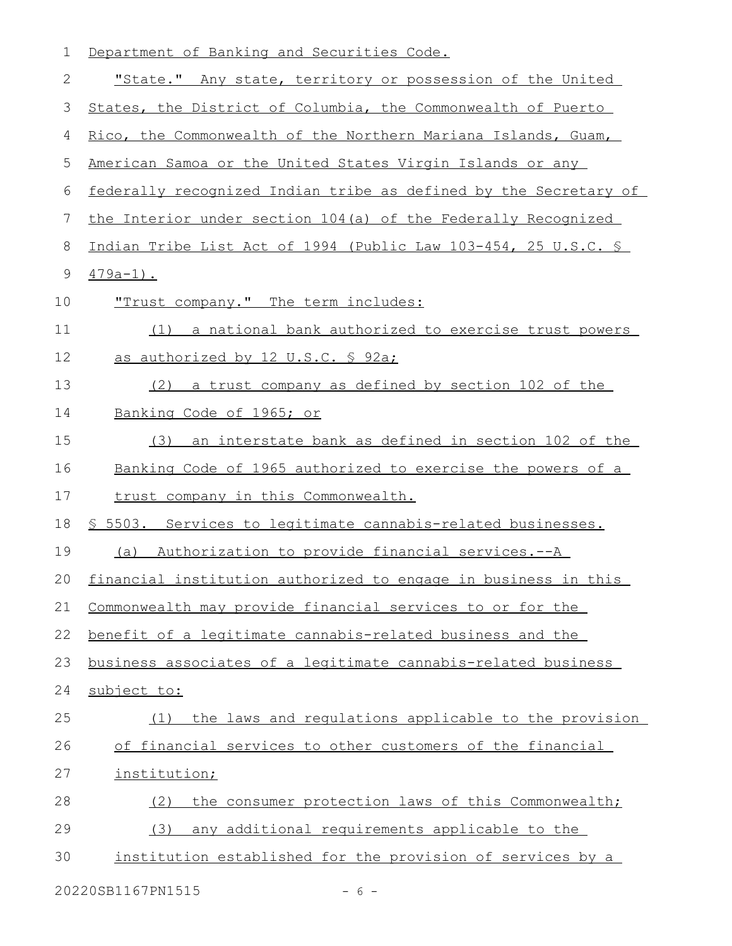| 1            | Department of Banking and Securities Code.                       |
|--------------|------------------------------------------------------------------|
| $\mathbf{2}$ | "State." Any state, territory or possession of the United        |
| 3            | States, the District of Columbia, the Commonwealth of Puerto     |
| 4            | Rico, the Commonwealth of the Northern Mariana Islands, Guam,    |
| 5            | American Samoa or the United States Virgin Islands or any        |
| 6            | federally recognized Indian tribe as defined by the Secretary of |
| 7            | the Interior under section 104(a) of the Federally Recognized    |
| 8            | Indian Tribe List Act of 1994 (Public Law 103-454, 25 U.S.C. §   |
| 9            | $479a-1$ .                                                       |
| 10           | <u>"Trust company." The term includes:</u>                       |
| 11           | (1) a national bank authorized to exercise trust powers          |
| 12           | as authorized by 12 U.S.C. § 92a;                                |
| 13           | (2) a trust company as defined by section 102 of the             |
| 14           | Banking Code of 1965; or                                         |
| 15           | an interstate bank as defined in section 102 of the<br>(3)       |
| 16           | Banking Code of 1965 authorized to exercise the powers of a      |
| 17           | trust company in this Commonwealth.                              |
| 18           | \$ 5503. Services to legitimate cannabis-related businesses.     |
| 19           | (a) Authorization to provide financial services.--A              |
| 20           | financial institution authorized to engage in business in this   |
| 21           | Commonwealth may provide financial services to or for the        |
| 22           | benefit of a legitimate cannabis-related business and the        |
| 23           | business associates of a legitimate cannabis-related business    |
| 24           | subject to:                                                      |
| 25           | the laws and requlations applicable to the provision<br>(1)      |
| 26           | of financial services to other customers of the financial        |
| 27           | institution;                                                     |
| 28           | the consumer protection laws of this Commonwealth;<br>(2)        |
| 29           | (3)<br>any additional requirements applicable to the             |
| 30           | institution established for the provision of services by a       |
|              |                                                                  |

20220SB1167PN1515 - 6 -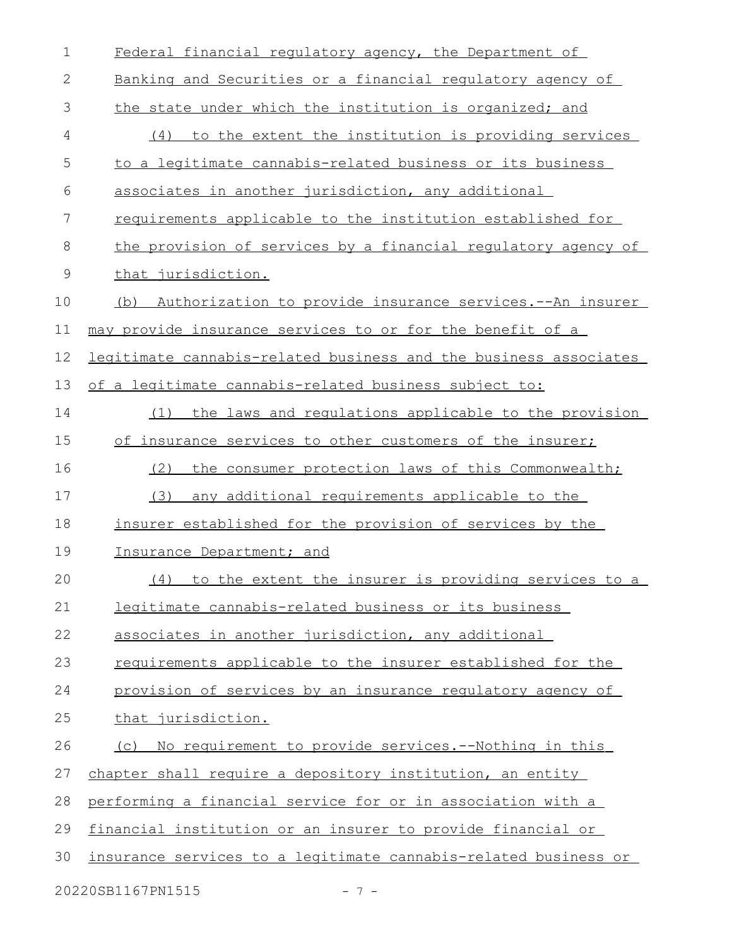| $\mathbf 1$   | Federal financial requlatory agency, the Department of           |
|---------------|------------------------------------------------------------------|
| 2             | Banking and Securities or a financial regulatory agency of       |
| 3             | the state under which the institution is organized; and          |
| 4             | (4)<br>to the extent the institution is providing services       |
| 5             | to a legitimate cannabis-related business or its business        |
| 6             | associates in another jurisdiction, any additional               |
| 7             | requirements applicable to the institution established for       |
| 8             | the provision of services by a financial regulatory agency of    |
| $\mathcal{G}$ | that jurisdiction.                                               |
| 10            | (b) Authorization to provide insurance services.--An insurer     |
| 11            | may provide insurance services to or for the benefit of a        |
| 12            | legitimate cannabis-related business and the business associates |
| 13            | of a legitimate cannabis-related business subject to:            |
| 14            | the laws and regulations applicable to the provision<br>(1)      |
| 15            | of insurance services to other customers of the insurer;         |
| 16            | (2)<br>the consumer protection laws of this Commonwealth;        |
| 17            | (3)<br>any additional requirements applicable to the             |
| 18            | <u>insurer established for the provision of services by the</u>  |
| 19            | Insurance Department; and                                        |
| 20            | (4) to the extent the insurer is providing services to a         |
| 21            | legitimate cannabis-related business or its business             |
| 22            | associates in another jurisdiction, any additional               |
| 23            | requirements applicable to the insurer established for the       |
| 24            | provision of services by an insurance requlatory agency of       |
| 25            | that jurisdiction.                                               |
| 26            | (c) No requirement to provide services.--Nothing in this         |
| 27            | chapter shall require a depository institution, an entity        |
| 28            | performing a financial service for or in association with a      |
| 29            | financial institution or an insurer to provide financial or      |
| 30            | insurance services to a legitimate cannabis-related business or  |
|               | 20220SB1167PN1515<br>$-7-$                                       |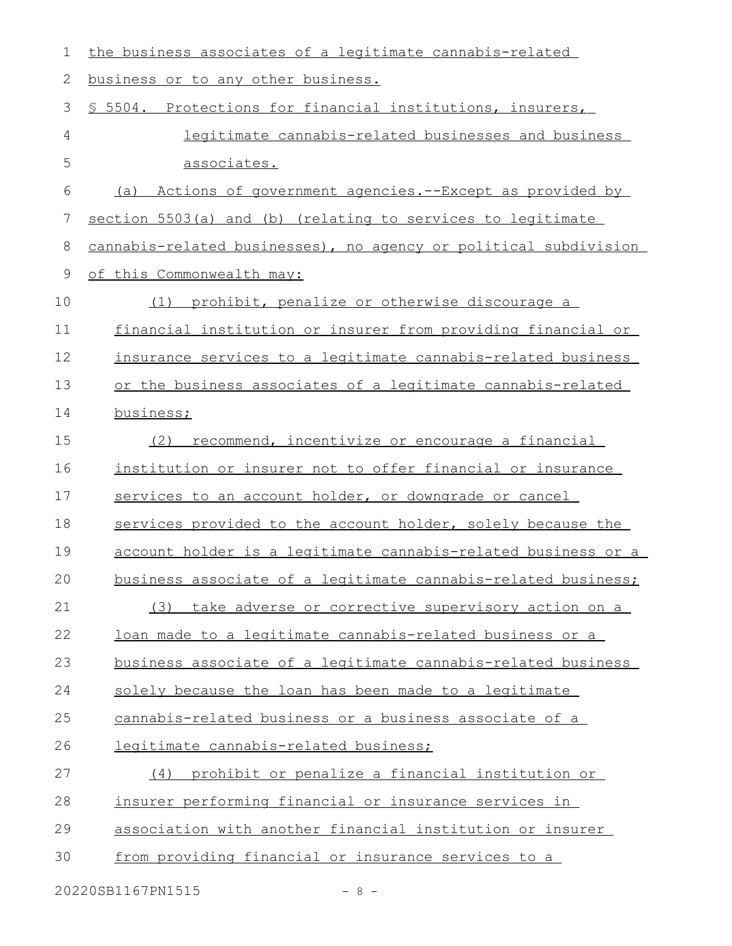| $\mathbf 1$   | the business associates of a legitimate cannabis-related         |
|---------------|------------------------------------------------------------------|
| 2             | business or to any other business.                               |
| 3             | \$ 5504. Protections for financial institutions, insurers,       |
| 4             | legitimate cannabis-related businesses and business              |
| 5             | associates.                                                      |
| 6             | Actions of government agencies.--Except as provided by<br>(a)    |
| 7             | section 5503(a) and (b) (relating to services to legitimate      |
| $8\,$         | cannabis-related businesses), no agency or political subdivision |
| $\mathcal{G}$ | of this Commonwealth may:                                        |
| 10            | (1) prohibit, penalize or otherwise discourage a                 |
| 11            | financial institution or insurer from providing financial or     |
| 12            | insurance services to a legitimate cannabis-related business     |
| 13            | or the business associates of a legitimate cannabis-related      |
| 14            | business;                                                        |
| 15            | (2)<br>recommend, incentivize or encourage a financial           |
| 16            | institution or insurer not to offer financial or insurance       |
| 17            | services to an account holder, or downgrade or cancel            |
| 18            | services provided to the account holder, solely because the      |
| 19            | account holder is a legitimate cannabis-related business or a    |
| 20            | business associate of a legitimate cannabis-related business;    |
| 21            | take adverse or corrective supervisory action on a<br>(3)        |
| 22            | <u>loan made to a legitimate cannabis-related business or a</u>  |
| 23            | business associate of a legitimate cannabis-related business     |
| 24            | solely because the loan has been made to a legitimate            |
| 25            | cannabis-related business or a business associate of a           |
| 26            | legitimate cannabis-related business;                            |
| 27            | (4) prohibit or penalize a financial institution or              |
| 28            | insurer performing financial or insurance services in            |
| 29            | association with another financial institution or insurer        |
| 30            | from providing financial or insurance services to a              |
|               |                                                                  |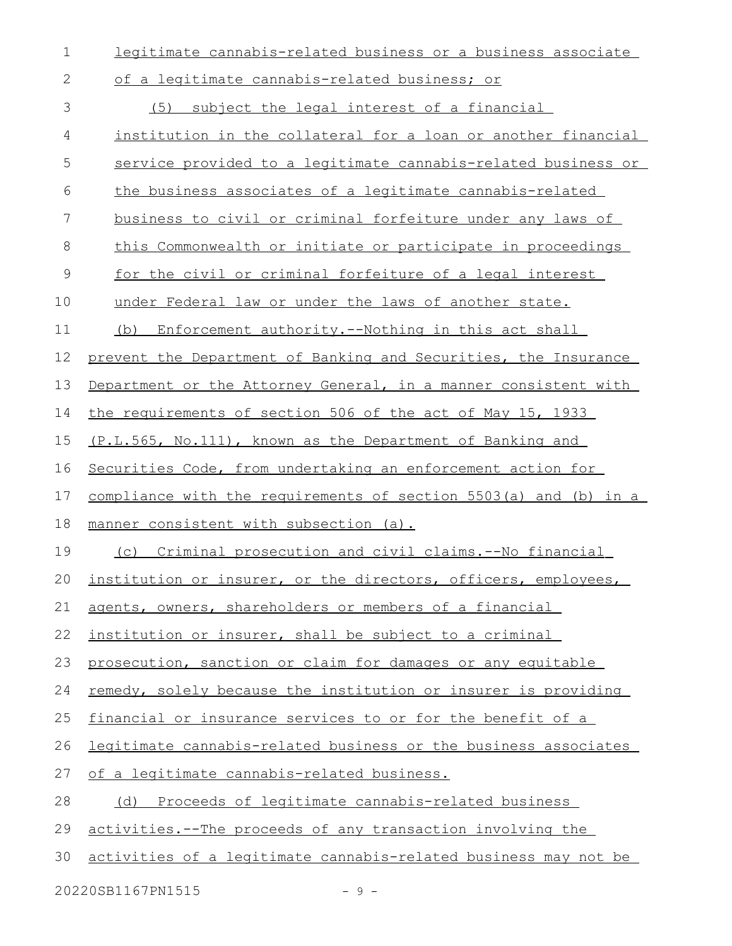| 1  | legitimate cannabis-related business or a business associate      |
|----|-------------------------------------------------------------------|
| 2  | of a legitimate cannabis-related business; or                     |
| 3  | (5) subject the legal interest of a financial                     |
| 4  | institution in the collateral for a loan or another financial     |
| 5  | service provided to a legitimate cannabis-related business or     |
| 6  | the business associates of a legitimate cannabis-related          |
| 7  | business to civil or criminal forfeiture under any laws of        |
| 8  | this Commonwealth or initiate or participate in proceedings       |
| 9  | <u>for the civil or criminal forfeiture of a legal interest</u>   |
| 10 | under Federal law or under the laws of another state.             |
| 11 | (b) Enforcement authority.--Nothing in this act shall             |
| 12 | prevent the Department of Banking and Securities, the Insurance   |
| 13 | Department or the Attorney General, in a manner consistent with   |
| 14 | the requirements of section 506 of the act of May 15, 1933        |
| 15 | (P.L.565, No.111), known as the Department of Banking and         |
| 16 | Securities Code, from undertaking an enforcement action for       |
| 17 | compliance with the requirements of section 5503(a) and (b) in a  |
| 18 | manner consistent with subsection (a).                            |
| 19 | (c) Criminal prosecution and civil claims.--No financial          |
|    | 20 institution or insurer, or the directors, officers, employees, |
| 21 | agents, owners, shareholders or members of a financial            |
| 22 | institution or insurer, shall be subject to a criminal            |
| 23 | prosecution, sanction or claim for damages or any equitable       |
| 24 | remedy, solely because the institution or insurer is providing    |
| 25 | financial or insurance services to or for the benefit of a        |
| 26 | legitimate cannabis-related business or the business associates   |
| 27 | of a legitimate cannabis-related business.                        |
| 28 | (d) Proceeds of legitimate cannabis-related business              |
| 29 | activities.--The proceeds of any transaction involving the        |
| 30 | activities of a legitimate cannabis-related business may not be   |
|    |                                                                   |

20220SB1167PN1515 - 9 -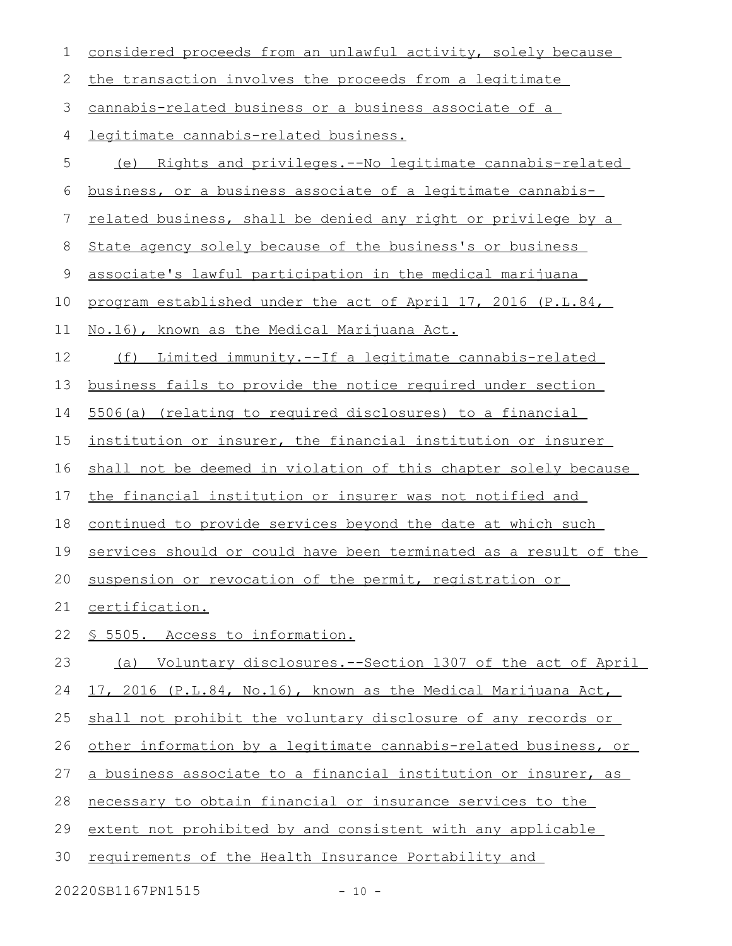| 1              | considered proceeds from an unlawful activity, solely because    |
|----------------|------------------------------------------------------------------|
| $\mathbf{2}$   | the transaction involves the proceeds from a legitimate          |
| $\mathfrak{Z}$ | cannabis-related business or a business associate of a           |
| 4              | legitimate cannabis-related business.                            |
| 5              | (e) Rights and privileges.--No legitimate cannabis-related       |
| 6              | business, or a business associate of a legitimate cannabis-      |
| 7              | related business, shall be denied any right or privilege by a    |
| $8\,$          | State agency solely because of the business's or business        |
| 9              | associate's lawful participation in the medical marijuana        |
| 10             | program established under the act of April 17, 2016 (P.L.84,     |
| 11             | No.16), known as the Medical Marijuana Act.                      |
| 12             | Limited immunity.--If a legitimate cannabis-related<br>(f)       |
| 13             | business fails to provide the notice required under section      |
| 14             | 5506(a) (relating to required disclosures) to a financial        |
| 15             | institution or insurer, the financial institution or insurer     |
| 16             | shall not be deemed in violation of this chapter solely because  |
| 17             | the financial institution or insurer was not notified and        |
| 18             | continued to provide services beyond the date at which such      |
| 19             | services should or could have been terminated as a result of the |
| 20             | suspension or revocation of the permit, registration or          |
| 21             | certification.                                                   |
| 22             | <u>S 5505. Access to information.</u>                            |
| 23             | (a) Voluntary disclosures.--Section 1307 of the act of April     |
| 24             | 17, 2016 (P.L.84, No.16), known as the Medical Marijuana Act,    |
| 25             | shall not prohibit the voluntary disclosure of any records or    |
| 26             | other information by a legitimate cannabis-related business, or  |
| 27             | a business associate to a financial institution or insurer, as   |
| 28             | necessary to obtain financial or insurance services to the       |
| 29             | extent not prohibited by and consistent with any applicable      |
| 30             | requirements of the Health Insurance Portability and             |
|                |                                                                  |

20220SB1167PN1515 - 10 -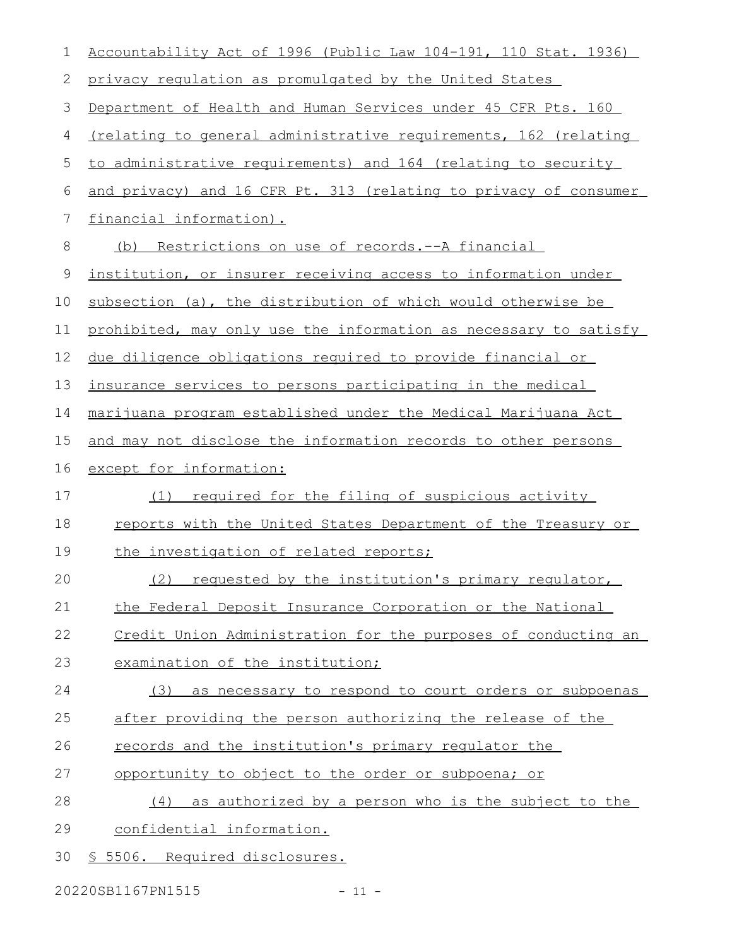| 1  | Accountability Act of 1996 (Public Law 104-191, 110 Stat. 1936)        |
|----|------------------------------------------------------------------------|
| 2  | privacy regulation as promulgated by the United States                 |
| 3  | Department of Health and Human Services under 45 CFR Pts. 160          |
| 4  | <u>(relating to general administrative requirements, 162 (relating</u> |
| 5  | to administrative requirements) and 164 (relating to security          |
| 6  | and privacy) and 16 CFR Pt. 313 (relating to privacy of consumer       |
| 7  | financial information).                                                |
| 8  | Restrictions on use of records.--A financial<br>(b)                    |
| 9  | institution, or insurer receiving access to information under          |
| 10 | subsection (a), the distribution of which would otherwise be           |
| 11 | prohibited, may only use the information as necessary to satisfy       |
| 12 | due diligence obligations required to provide financial or             |
| 13 | insurance services to persons participating in the medical             |
| 14 | marijuana program established under the Medical Marijuana Act          |
| 15 | and may not disclose the information records to other persons          |
| 16 | except for information:                                                |
| 17 | required for the filing of suspicious activity<br>(1)                  |
| 18 | reports with the United States Department of the Treasury or           |
| 19 | the investigation of related reports;                                  |
| 20 | (2) requested by the institution's primary requiator,                  |
| 21 | the Federal Deposit Insurance Corporation or the National              |
| 22 | Credit Union Administration for the purposes of conducting an          |
| 23 | examination of the institution;                                        |
| 24 | as necessary to respond to court orders or subpoenas<br>(3)            |
| 25 | after providing the person authorizing the release of the              |
| 26 | records and the institution's primary regulator the                    |
| 27 | opportunity to object to the order or subpoena; or                     |
| 28 | as authorized by a person who is the subject to the<br>(4)             |
| 29 | confidential information.                                              |
| 30 | § 5506. Required disclosures.                                          |

20220SB1167PN1515 - 11 -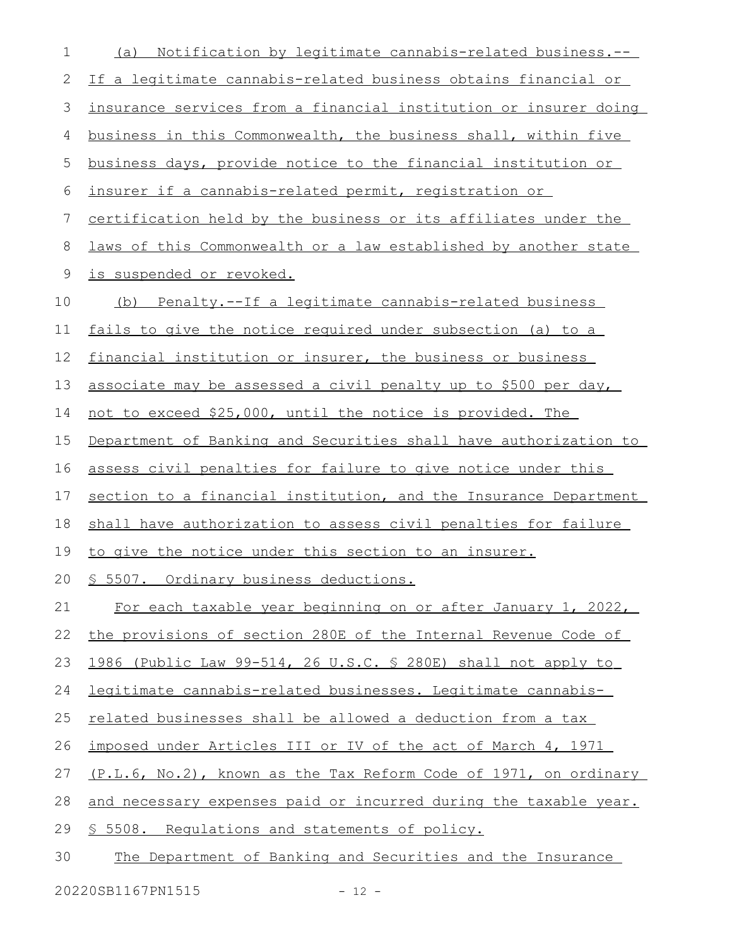| 1  | <u>Notification by legitimate cannabis-related business.--</u><br>(a) |
|----|-----------------------------------------------------------------------|
| 2  | If a legitimate cannabis-related business obtains financial or        |
| 3  | insurance services from a financial institution or insurer doing      |
| 4  | business in this Commonwealth, the business shall, within five        |
| 5  | business days, provide notice to the financial institution or         |
| 6  | insurer if a cannabis-related permit, registration or                 |
| 7  | <u>certification held by the business or its affiliates under the</u> |
| 8  | laws of this Commonwealth or a law established by another state       |
| 9  | is suspended or revoked.                                              |
| 10 | (b) Penalty.--If a legitimate cannabis-related business               |
| 11 | fails to give the notice required under subsection (a) to a           |
| 12 | financial institution or insurer, the business or business            |
| 13 | associate may be assessed a civil penalty up to \$500 per day,        |
| 14 | not to exceed \$25,000, until the notice is provided. The             |
| 15 | Department of Banking and Securities shall have authorization to      |
| 16 | assess civil penalties for failure to give notice under this          |
| 17 | section to a financial institution, and the Insurance Department      |
| 18 | shall have authorization to assess civil penalties for failure        |
| 19 | to give the notice under this section to an insurer.                  |
|    | 20 § 5507. Ordinary business deductions.                              |
| 21 | For each taxable year beginning on or after January 1, 2022,          |
| 22 | the provisions of section 280E of the Internal Revenue Code of        |
| 23 | 1986 (Public Law 99-514, 26 U.S.C. § 280E) shall not apply to         |
| 24 | legitimate cannabis-related businesses. Legitimate cannabis-          |
| 25 | related businesses shall be allowed a deduction from a tax            |
| 26 | imposed under Articles III or IV of the act of March 4, 1971          |
| 27 | (P.L.6, No.2), known as the Tax Reform Code of 1971, on ordinary      |
| 28 | and necessary expenses paid or incurred during the taxable year.      |
| 29 | § 5508. Requlations and statements of policy.                         |
| 30 | The Department of Banking and Securities and the Insurance            |
|    | 20220SB1167PN1515<br>$-12 -$                                          |